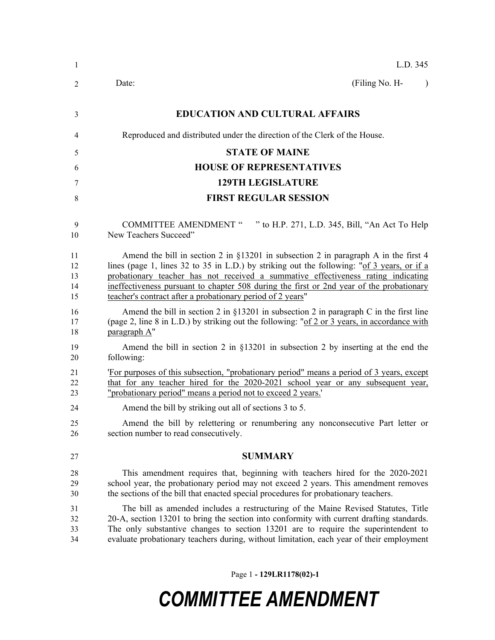| $\mathbf{1}$               | L.D. 345                                                                                                                                                                                                                                                                                                                                                                                                                             |
|----------------------------|--------------------------------------------------------------------------------------------------------------------------------------------------------------------------------------------------------------------------------------------------------------------------------------------------------------------------------------------------------------------------------------------------------------------------------------|
| 2                          | (Filing No. H-<br>Date:<br>$\lambda$                                                                                                                                                                                                                                                                                                                                                                                                 |
| 3                          | <b>EDUCATION AND CULTURAL AFFAIRS</b>                                                                                                                                                                                                                                                                                                                                                                                                |
| 4                          | Reproduced and distributed under the direction of the Clerk of the House.                                                                                                                                                                                                                                                                                                                                                            |
| 5                          | <b>STATE OF MAINE</b>                                                                                                                                                                                                                                                                                                                                                                                                                |
| 6                          | <b>HOUSE OF REPRESENTATIVES</b>                                                                                                                                                                                                                                                                                                                                                                                                      |
| 7                          | <b>129TH LEGISLATURE</b>                                                                                                                                                                                                                                                                                                                                                                                                             |
| 8                          | <b>FIRST REGULAR SESSION</b>                                                                                                                                                                                                                                                                                                                                                                                                         |
| 9<br>10                    | COMMITTEE AMENDMENT " " to H.P. 271, L.D. 345, Bill, "An Act To Help<br>New Teachers Succeed"                                                                                                                                                                                                                                                                                                                                        |
| 11<br>12<br>13<br>14<br>15 | Amend the bill in section 2 in $\S$ 13201 in subsection 2 in paragraph A in the first 4<br>lines (page 1, lines 32 to 35 in L.D.) by striking out the following: "of 3 years, or if a<br>probationary teacher has not received a summative effectiveness rating indicating<br>ineffectiveness pursuant to chapter 508 during the first or 2nd year of the probationary<br>teacher's contract after a probationary period of 2 years" |
| 16<br>17<br>18             | Amend the bill in section 2 in $\S$ 13201 in subsection 2 in paragraph C in the first line<br>(page 2, line 8 in L.D.) by striking out the following: "of 2 or 3 years, in accordance with<br>paragraph A"                                                                                                                                                                                                                           |
| 19<br>20                   | Amend the bill in section 2 in $\S$ 13201 in subsection 2 by inserting at the end the<br>following:                                                                                                                                                                                                                                                                                                                                  |
| 21<br>22<br>23             | 'For purposes of this subsection, "probationary period" means a period of 3 years, except<br>that for any teacher hired for the 2020-2021 school year or any subsequent year,<br>"probationary period" means a period not to exceed 2 years."                                                                                                                                                                                        |
| 24                         | Amend the bill by striking out all of sections 3 to 5.                                                                                                                                                                                                                                                                                                                                                                               |
| 25<br>26                   | Amend the bill by relettering or renumbering any nonconsecutive Part letter or<br>section number to read consecutively.                                                                                                                                                                                                                                                                                                              |
| 27                         | <b>SUMMARY</b>                                                                                                                                                                                                                                                                                                                                                                                                                       |
| 28<br>29<br>30             | This amendment requires that, beginning with teachers hired for the 2020-2021<br>school year, the probationary period may not exceed 2 years. This amendment removes<br>the sections of the bill that enacted special procedures for probationary teachers.                                                                                                                                                                          |
| 31<br>32<br>33<br>34       | The bill as amended includes a restructuring of the Maine Revised Statutes, Title<br>20-A, section 13201 to bring the section into conformity with current drafting standards.<br>The only substantive changes to section 13201 are to require the superintendent to<br>evaluate probationary teachers during, without limitation, each year of their employment                                                                     |

Page 1 **- 129LR1178(02)-1**

## *COMMITTEE AMENDMENT*